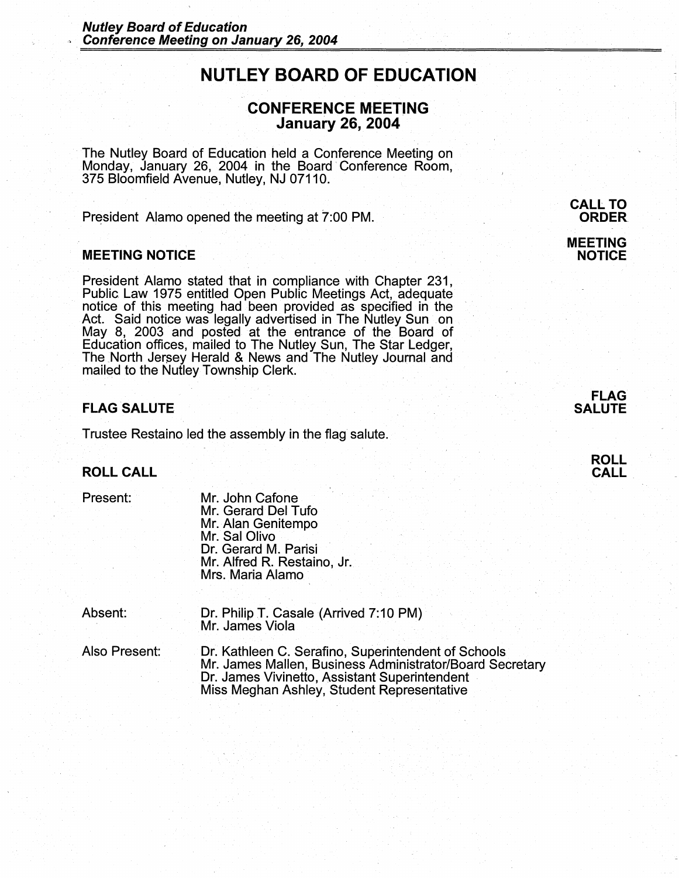# **NUTLEY BOARD OF EDUCATION**

## **CONFERENCE MEETING January 26, 2004** ·

The Nutley Board of Education held a Conference Meeting on Monday, January 26, 2004 in the Board· Conference Room, 375 Bloomfield Avenue, Nutley, NJ 07110.

President Alamo opened the meeting at 7:00 PM.

### **MEETING NOTICE**

President Alamo stated that in compliance with Chapter 231, Public Law 1975 entitled Open Public Meetings Act, adequate notice of this meeting had been provided as specified in the Act. Said notice was legally advertised in The Nutley Sunson May 8, 2003 and posted at the entrance of the Board of Education offices, mailed to The Nutley Sun, The Star Ledger, The North Jersey Herald & News and The Nutley Journal and mailed to the Nutley Township Clerk.

## **FLAG SALUTE**

Trustee Restaino led the assembly in the flag salute.

#### **ROLL CALL**

#### Present:

- Mr. John Cafone Mr. Gerard Del Tufo Mr. Alan Genitempo Mr. Sal Olivo Dr. Gerard M. Parisi Mr. Alfred R. Restaino, Jr. Mrs. Maria Alamo ·
- Absent: Dr. Philip T. Casale (Arrived 7:10 PM) Mr. James Viola
- Also Present: Dr. Kathleen C. Serafino, Superintendent of Schools Mr. James Mallen, Business Administrator/Board Secretary Dr. James Vivinetto, Assistant Superintendent Miss Meghan Ashley, Student Representative

## **CALL TO ORDER MEETING NOTICE**



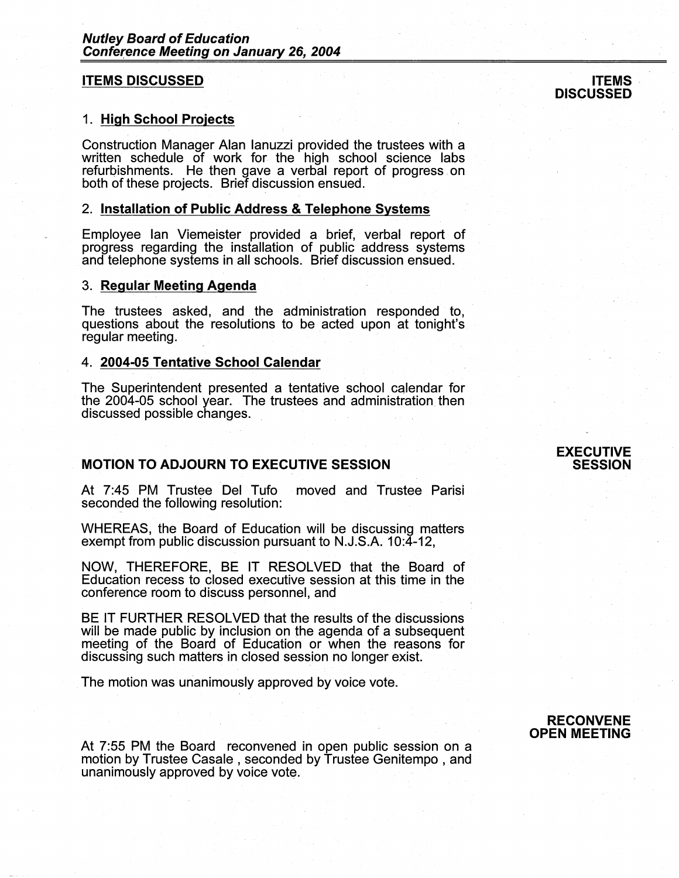#### **ITEMS DISCUSSED**

#### 1. **High School Projects**

Construction Manager Alan Ianuzzi provided the. trustees with a written schedule of work for the high school science labs refurbishments. He then gave a verbal report of progress on both of these projects. Brief discussion ensued.

#### 2. **Installation of Public Address** & **Telephone Systems**

Employee Ian Viemeister provided a brief, verbal report of progress regarding the installation of public address systems and telephone systems in all schools. Brief discussion ensued.

#### 3. **Regular Meeting Agenda**

The trustees asked, and the administration responded to, questions about the resolutions to be acted upon at tonight's regular meeting.

#### 4. **2004-05 Tentative School Calendar**

The Superintendent presented a tentative school Cqlendar for the 2004-05 school year. The trustees and administration then discussed possible changes.

## **MOTION TO ADJOURN TO EXECUTIVE SESSION**

At 7:45 PM Trustee Del Tufo moved and Trustee Parisi seconded the following resolution:

WHEREAS, the Board of Education will be discussing matters exempt from public discussion pursuant to N.J.S.A. 10:4-12,

NOW, THEREFORE, BE IT RESOLVED that the Board of Education recess to closed executive session at this time in the conference room to discuss personnel, and

BE IT FURTHER RESOLVED that the results of the discussions will be made public by inclusion on the agenda of a subsequent meeting of the Board of Education or when the reasons for discussing such matters in closed session no longer exist.

The motion was unanimously approved by voice vote.

At 7:55 PM the Board reconvened in open public session on a motion by Trustee Casale , seconded by Trustee Genitempo , and unanimously approved by voice vote.

**RECONVENE OPEN MEETING** 

#### **EXECUTIVE SESSION**

#### **ITEMS** · **DISCUSSED**